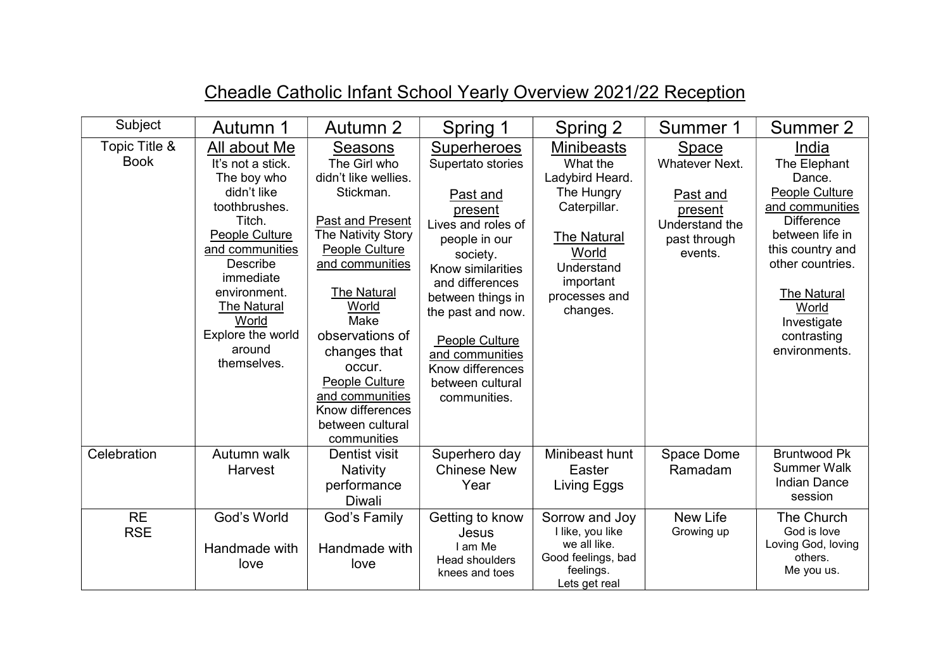| Subject                      | Autumn 1                                                                                                                                                                                                                                                     | Autumn 2                                                                                                                                                                                                                                                                                                                           | Spring 1                                                                                                                                                                                                                                                                                         | Spring 2                                                                                                                                                              | Summer 1                                                                                                  | Summer 2                                                                                                                                                                                                                           |
|------------------------------|--------------------------------------------------------------------------------------------------------------------------------------------------------------------------------------------------------------------------------------------------------------|------------------------------------------------------------------------------------------------------------------------------------------------------------------------------------------------------------------------------------------------------------------------------------------------------------------------------------|--------------------------------------------------------------------------------------------------------------------------------------------------------------------------------------------------------------------------------------------------------------------------------------------------|-----------------------------------------------------------------------------------------------------------------------------------------------------------------------|-----------------------------------------------------------------------------------------------------------|------------------------------------------------------------------------------------------------------------------------------------------------------------------------------------------------------------------------------------|
| Topic Title &<br><b>Book</b> | All about Me<br>It's not a stick.<br>The boy who<br>didn't like<br>toothbrushes.<br>Titch.<br>People Culture<br>and communities<br><b>Describe</b><br>immediate<br>environment.<br><b>The Natural</b><br>World<br>Explore the world<br>around<br>themselves. | <b>Seasons</b><br>The Girl who<br>didn't like wellies.<br>Stickman.<br>Past and Present<br>The Nativity Story<br>People Culture<br>and communities<br>The Natural<br>World<br>Make<br>observations of<br>changes that<br>occur.<br><b>People Culture</b><br>and communities<br>Know differences<br>between cultural<br>communities | <b>Superheroes</b><br>Supertato stories<br>Past and<br>present<br>Lives and roles of<br>people in our<br>society.<br>Know similarities<br>and differences<br>between things in<br>the past and now.<br>People Culture<br>and communities<br>Know differences<br>between cultural<br>communities. | <b>Minibeasts</b><br>What the<br>Ladybird Heard.<br>The Hungry<br>Caterpillar.<br><b>The Natural</b><br>World<br>Understand<br>important<br>processes and<br>changes. | <b>Space</b><br><b>Whatever Next.</b><br>Past and<br>present<br>Understand the<br>past through<br>events. | India<br>The Elephant<br>Dance.<br>People Culture<br>and communities<br><b>Difference</b><br>between life in<br>this country and<br>other countries.<br><b>The Natural</b><br>World<br>Investigate<br>contrasting<br>environments. |
| Celebration                  | Autumn walk<br>Harvest                                                                                                                                                                                                                                       | Dentist visit<br><b>Nativity</b><br>performance<br><b>Diwali</b>                                                                                                                                                                                                                                                                   | Superhero day<br><b>Chinese New</b><br>Year                                                                                                                                                                                                                                                      | Minibeast hunt<br>Easter<br>Living Eggs                                                                                                                               | Space Dome<br>Ramadam                                                                                     | <b>Bruntwood Pk</b><br><b>Summer Walk</b><br><b>Indian Dance</b><br>session                                                                                                                                                        |
| <b>RE</b><br><b>RSE</b>      | God's World<br>Handmade with<br>love                                                                                                                                                                                                                         | God's Family<br>Handmade with<br>love                                                                                                                                                                                                                                                                                              | Getting to know<br>Jesus<br>I am Me<br>Head shoulders<br>knees and toes                                                                                                                                                                                                                          | Sorrow and Joy<br>I like, you like<br>we all like.<br>Good feelings, bad<br>feelings.<br>Lets get real                                                                | New Life<br>Growing up                                                                                    | The Church<br>God is love<br>Loving God, loving<br>others.<br>Me you us.                                                                                                                                                           |

## Cheadle Catholic Infant School Yearly Overview 2021/22 Reception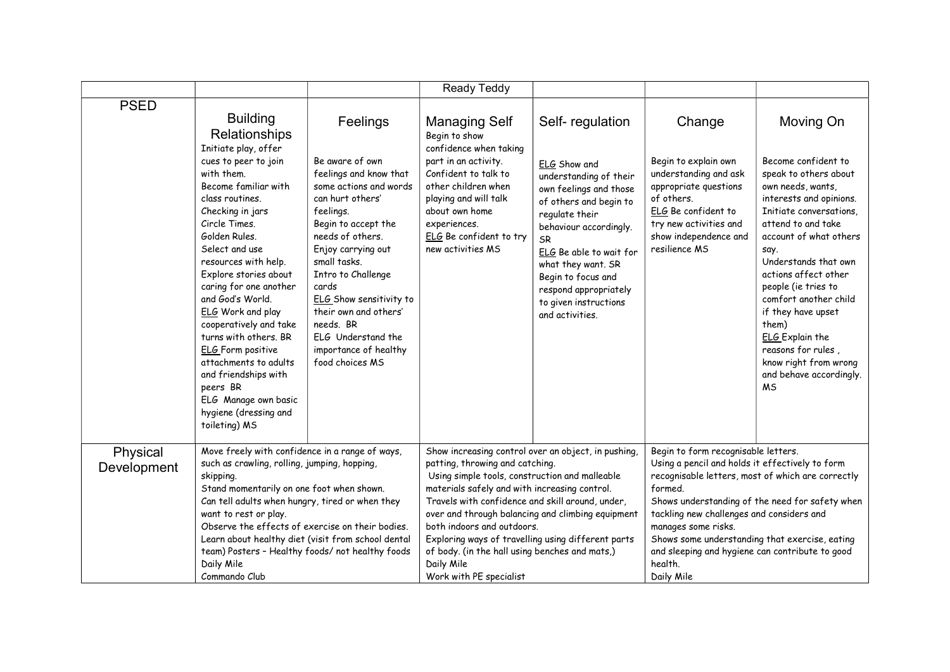|                         |                                                                                                                                                                                                                                                                                                                                                                                                                                                                                                                                                     |                                                                                                                                                                                                                                                                                                                                                                     | Ready Teddy                                                                                                                                                                                                                                                                                                                                                                                                                                                                       |                                                                                                                                                                                                                                                                                                                    |                                                                                                                                                                                                                                                                                                                                                                                                             |                                                                                                                                                                                                                                                                                                                                                                                                                                              |
|-------------------------|-----------------------------------------------------------------------------------------------------------------------------------------------------------------------------------------------------------------------------------------------------------------------------------------------------------------------------------------------------------------------------------------------------------------------------------------------------------------------------------------------------------------------------------------------------|---------------------------------------------------------------------------------------------------------------------------------------------------------------------------------------------------------------------------------------------------------------------------------------------------------------------------------------------------------------------|-----------------------------------------------------------------------------------------------------------------------------------------------------------------------------------------------------------------------------------------------------------------------------------------------------------------------------------------------------------------------------------------------------------------------------------------------------------------------------------|--------------------------------------------------------------------------------------------------------------------------------------------------------------------------------------------------------------------------------------------------------------------------------------------------------------------|-------------------------------------------------------------------------------------------------------------------------------------------------------------------------------------------------------------------------------------------------------------------------------------------------------------------------------------------------------------------------------------------------------------|----------------------------------------------------------------------------------------------------------------------------------------------------------------------------------------------------------------------------------------------------------------------------------------------------------------------------------------------------------------------------------------------------------------------------------------------|
| <b>PSED</b>             | <b>Building</b><br>Relationships<br>Initiate play, offer<br>cues to peer to join<br>with them.<br>Become familiar with<br>class routines.<br>Checking in jars<br>Circle Times.<br>Golden Rules.<br>Select and use<br>resources with help.<br>Explore stories about<br>caring for one another<br>and God's World.<br>ELG Work and play<br>cooperatively and take<br>turns with others. BR<br><b>ELG</b> Form positive<br>attachments to adults<br>and friendships with<br>peers BR<br>ELG Manage own basic<br>hygiene (dressing and<br>toileting) MS | Feelings<br>Be aware of own<br>feelings and know that<br>some actions and words<br>can hurt others'<br>feelings.<br>Begin to accept the<br>needs of others.<br>Enjoy carrying out<br>small tasks.<br>Intro to Challenge<br>cards<br>ELG Show sensitivity to<br>their own and others'<br>needs. BR<br>ELG Understand the<br>importance of healthy<br>food choices MS | <b>Managing Self</b><br>Begin to show<br>confidence when taking<br>part in an activity.<br>Confident to talk to<br>other children when<br>playing and will talk<br>about own home<br>experiences.<br>ELG Be confident to try<br>new activities MS                                                                                                                                                                                                                                 | Self-regulation<br>ELG Show and<br>understanding of their<br>own feelings and those<br>of others and begin to<br>regulate their<br>behaviour accordingly.<br><b>SR</b><br>ELG Be able to wait for<br>what they want. SR<br>Begin to focus and<br>respond appropriately<br>to given instructions<br>and activities. | Change<br>Begin to explain own<br>understanding and ask<br>appropriate questions<br>of others.<br>ELG Be confident to<br>try new activities and<br>show independence and<br>resilience MS                                                                                                                                                                                                                   | Moving On<br>Become confident to<br>speak to others about<br>own needs, wants,<br>interests and opinions.<br>Initiate conversations.<br>attend to and take<br>account of what others<br>say.<br>Understands that own<br>actions affect other<br>people (ie tries to<br>comfort another child<br>if they have upset<br>them)<br><b>ELG</b> Explain the<br>reasons for rules,<br>know right from wrong<br>and behave accordingly.<br><b>MS</b> |
| Physical<br>Development | Move freely with confidence in a range of ways,<br>such as crawling, rolling, jumping, hopping,<br>skipping.<br>Stand momentarily on one foot when shown.<br>Can tell adults when hungry, tired or when they<br>want to rest or play.<br>Observe the effects of exercise on their bodies.<br>Learn about healthy diet (visit from school dental<br>team) Posters - Healthy foods/ not healthy foods<br>Daily Mile<br>Commando Club                                                                                                                  |                                                                                                                                                                                                                                                                                                                                                                     | Show increasing control over an object, in pushing,<br>patting, throwing and catching.<br>Using simple tools, construction and malleable<br>materials safely and with increasing control.<br>Travels with confidence and skill around, under,<br>over and through balancing and climbing equipment<br>both indoors and outdoors.<br>Exploring ways of travelling using different parts<br>of body. (in the hall using benches and mats,)<br>Daily Mile<br>Work with PE specialist |                                                                                                                                                                                                                                                                                                                    | Begin to form recognisable letters.<br>Using a pencil and holds it effectively to form<br>recognisable letters, most of which are correctly<br>formed.<br>Shows understanding of the need for safety when<br>tackling new challenges and considers and<br>manages some risks.<br>Shows some understanding that exercise, eating<br>and sleeping and hygiene can contribute to good<br>health.<br>Daily Mile |                                                                                                                                                                                                                                                                                                                                                                                                                                              |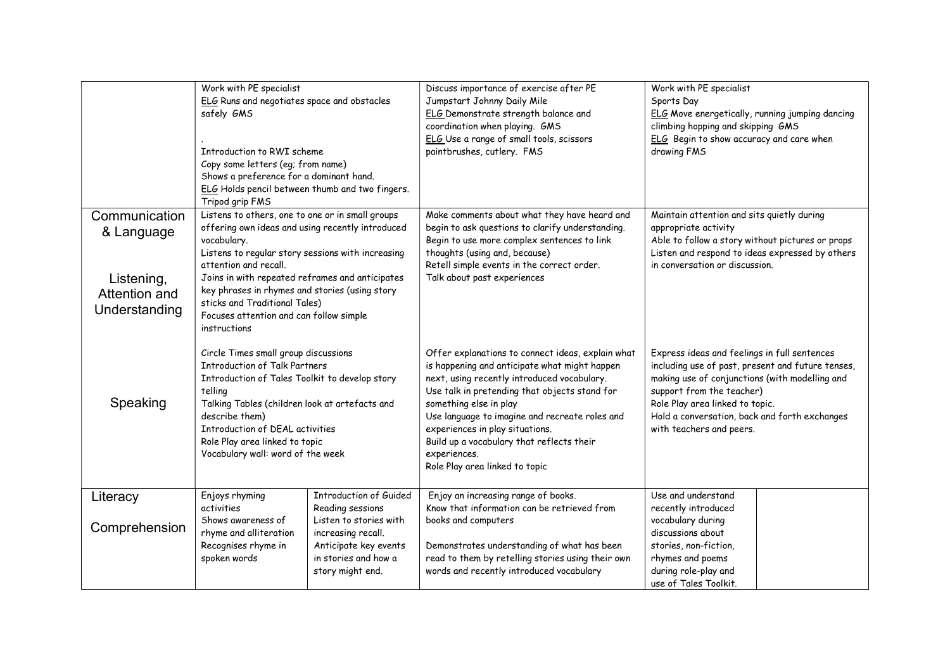|                                                                             | Work with PE specialist<br>ELG Runs and negotiates space and obstacles<br>safely GMS<br>Introduction to RWI scheme<br>Copy some letters (eg; from name)<br>Shows a preference for a dominant hand.<br>ELG Holds pencil between thumb and two fingers.<br>Tripod grip FMS                                                                                                                           |                                                                                                                                                                        | Discuss importance of exercise after PE<br>Jumpstart Johnny Daily Mile<br>ELG Demonstrate strength balance and<br>coordination when playing. GMS<br>ELG Use a range of small tools, scissors<br>paintbrushes, cutlery. FMS                                                                                                                                                                                       |                                                                                                                                                                                                                                                                                                  | ELG Move energetically, running jumping dancing |
|-----------------------------------------------------------------------------|----------------------------------------------------------------------------------------------------------------------------------------------------------------------------------------------------------------------------------------------------------------------------------------------------------------------------------------------------------------------------------------------------|------------------------------------------------------------------------------------------------------------------------------------------------------------------------|------------------------------------------------------------------------------------------------------------------------------------------------------------------------------------------------------------------------------------------------------------------------------------------------------------------------------------------------------------------------------------------------------------------|--------------------------------------------------------------------------------------------------------------------------------------------------------------------------------------------------------------------------------------------------------------------------------------------------|-------------------------------------------------|
| Communication<br>& Language<br>Listening,<br>Attention and<br>Understanding | Listens to others, one to one or in small groups<br>offering own ideas and using recently introduced<br>vocabulary.<br>Listens to regular story sessions with increasing<br>attention and recall.<br>Joins in with repeated reframes and anticipates<br>key phrases in rhymes and stories (using story<br>sticks and Traditional Tales)<br>Focuses attention and can follow simple<br>instructions |                                                                                                                                                                        | Make comments about what they have heard and<br>begin to ask questions to clarify understanding.<br>Begin to use more complex sentences to link<br>thoughts (using and, because)<br>Retell simple events in the correct order.<br>Talk about past experiences                                                                                                                                                    | Maintain attention and sits quietly during<br>appropriate activity<br>Able to follow a story without pictures or props<br>Listen and respond to ideas expressed by others<br>in conversation or discussion.                                                                                      |                                                 |
| Speaking                                                                    | Circle Times small group discussions<br><b>Introduction of Talk Partners</b><br>Introduction of Tales Toolkit to develop story<br>telling<br>Talking Tables (children look at artefacts and<br>describe them)<br>Introduction of DEAL activities<br>Role Play area linked to topic<br>Vocabulary wall: word of the week                                                                            |                                                                                                                                                                        | Offer explanations to connect ideas, explain what<br>is happening and anticipate what might happen<br>next, using recently introduced vocabulary.<br>Use talk in pretending that objects stand for<br>something else in play<br>Use language to imagine and recreate roles and<br>experiences in play situations.<br>Build up a vocabulary that reflects their<br>experiences.<br>Role Play area linked to topic | Express ideas and feelings in full sentences<br>including use of past, present and future tenses,<br>making use of conjunctions (with modelling and<br>support from the teacher)<br>Role Play area linked to topic.<br>Hold a conversation, back and forth exchanges<br>with teachers and peers. |                                                 |
| Literacy<br>Comprehension                                                   | Enjoys rhyming<br>activities<br>Shows awareness of<br>rhyme and alliteration<br>Recognises rhyme in<br>spoken words                                                                                                                                                                                                                                                                                | <b>Introduction of Guided</b><br>Reading sessions<br>Listen to stories with<br>increasing recall.<br>Anticipate key events<br>in stories and how a<br>story might end. | Enjoy an increasing range of books.<br>Know that information can be retrieved from<br>books and computers<br>Demonstrates understanding of what has been<br>read to them by retelling stories using their own<br>words and recently introduced vocabulary                                                                                                                                                        | Use and understand<br>recently introduced<br>vocabulary during<br>discussions about<br>stories, non-fiction,<br>rhymes and poems<br>during role-play and<br>use of Tales Toolkit.                                                                                                                |                                                 |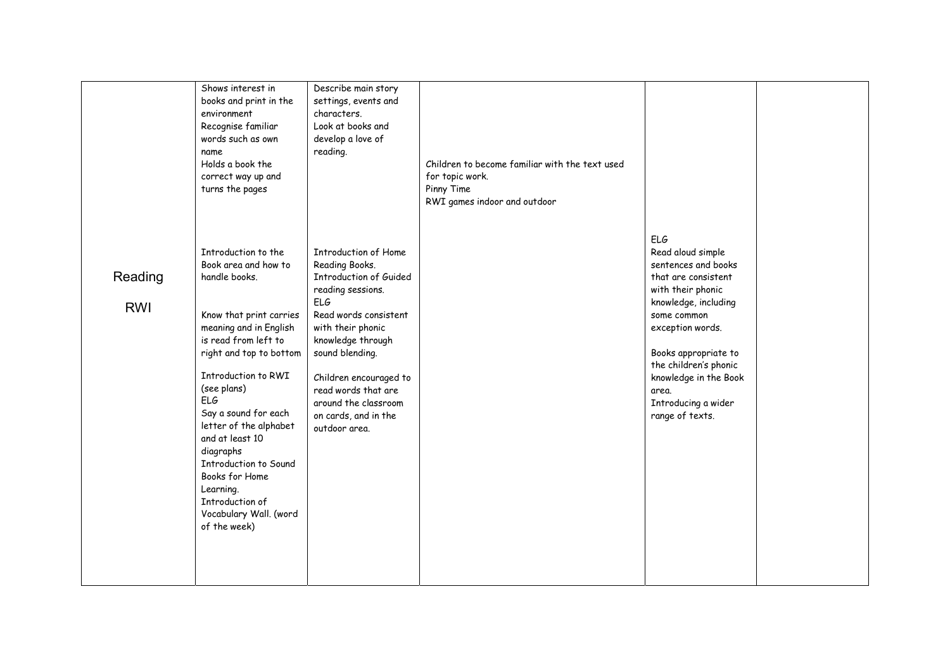|                       | Shows interest in<br>books and print in the<br>environment<br>Recognise familiar<br>words such as own<br>name<br>Holds a book the<br>correct way up and<br>turns the pages                                                                                                                                                                                                                                               | Describe main story<br>settings, events and<br>characters.<br>Look at books and<br>develop a love of<br>reading.                                                                                                                                                                                                   | Children to become familiar with the text used<br>for topic work.<br>Pinny Time<br>RWI games indoor and outdoor |                                                                                                                                                                                                                                                                                     |  |
|-----------------------|--------------------------------------------------------------------------------------------------------------------------------------------------------------------------------------------------------------------------------------------------------------------------------------------------------------------------------------------------------------------------------------------------------------------------|--------------------------------------------------------------------------------------------------------------------------------------------------------------------------------------------------------------------------------------------------------------------------------------------------------------------|-----------------------------------------------------------------------------------------------------------------|-------------------------------------------------------------------------------------------------------------------------------------------------------------------------------------------------------------------------------------------------------------------------------------|--|
| Reading<br><b>RWI</b> | Introduction to the<br>Book area and how to<br>handle books.<br>Know that print carries<br>meaning and in English<br>is read from left to<br>right and top to bottom<br>Introduction to RWI<br>(see plans)<br>ELG<br>Say a sound for each<br>letter of the alphabet<br>and at least 10<br>diagraphs<br>Introduction to Sound<br>Books for Home<br>Learning.<br>Introduction of<br>Vocabulary Wall. (word<br>of the week) | Introduction of Home<br>Reading Books.<br><b>Introduction of Guided</b><br>reading sessions.<br><b>ELG</b><br>Read words consistent<br>with their phonic<br>knowledge through<br>sound blending.<br>Children encouraged to<br>read words that are<br>around the classroom<br>on cards, and in the<br>outdoor area. |                                                                                                                 | ELG<br>Read aloud simple<br>sentences and books<br>that are consistent<br>with their phonic<br>knowledge, including<br>some common<br>exception words.<br>Books appropriate to<br>the children's phonic<br>knowledge in the Book<br>area.<br>Introducing a wider<br>range of texts. |  |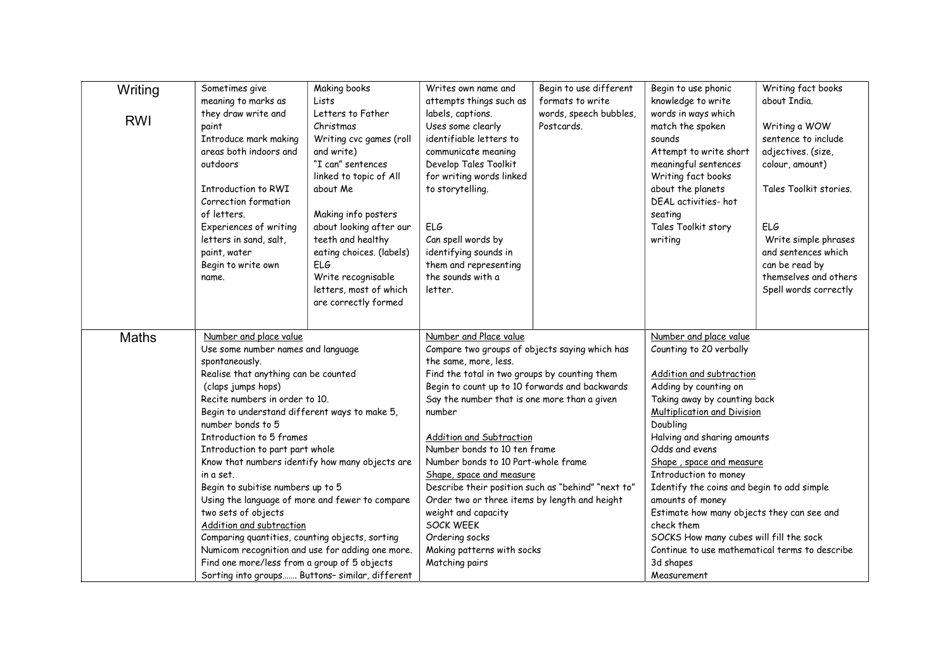| Writing      | Sometimes give                                                                                   | Making books                    | Writes own name and                                                                                                                                                                                                | Begin to use different               | Begin to use phonic                                                                                                      | Writing fact books                          |
|--------------|--------------------------------------------------------------------------------------------------|---------------------------------|--------------------------------------------------------------------------------------------------------------------------------------------------------------------------------------------------------------------|--------------------------------------|--------------------------------------------------------------------------------------------------------------------------|---------------------------------------------|
|              | meaning to marks as<br>they draw write and                                                       | Lists<br>Letters to Father      | attempts things such as                                                                                                                                                                                            | formats to write                     | knowledge to write<br>words in ways which                                                                                | about India.                                |
| <b>RWI</b>   | paint                                                                                            | Christmas                       | labels, captions.<br>Uses some clearly                                                                                                                                                                             | words, speech bubbles,<br>Postcards. | match the spoken                                                                                                         | Writing a WOW                               |
|              | Introduce mark making                                                                            | Writing cvc games (roll         | identifiable letters to                                                                                                                                                                                            |                                      | sounds                                                                                                                   | sentence to include                         |
|              | areas both indoors and                                                                           | and write)                      | communicate meaning                                                                                                                                                                                                |                                      | Attempt to write short                                                                                                   | adjectives, (size,                          |
|              | outdoors                                                                                         | "I can" sentences               | Develop Tales Toolkit                                                                                                                                                                                              |                                      | meaningful sentences                                                                                                     | colour, amount)                             |
|              |                                                                                                  | linked to topic of All          | for writing words linked                                                                                                                                                                                           |                                      | Writing fact books                                                                                                       |                                             |
|              | Introduction to RWI                                                                              | about Me                        | to storytelling.                                                                                                                                                                                                   |                                      | about the planets                                                                                                        | Tales Toolkit stories.                      |
|              | Correction formation                                                                             |                                 |                                                                                                                                                                                                                    |                                      | DFAL activities-hot                                                                                                      |                                             |
|              | of letters.                                                                                      | Making info posters             |                                                                                                                                                                                                                    |                                      | seating                                                                                                                  |                                             |
|              | Experiences of writing                                                                           | about looking after our         | ELG                                                                                                                                                                                                                |                                      | Tales Toolkit story                                                                                                      | ELG                                         |
|              | letters in sand, salt,                                                                           | teeth and healthy               | Can spell words by                                                                                                                                                                                                 |                                      | writing                                                                                                                  | Write simple phrases<br>and sentences which |
|              | paint, water<br>Begin to write own                                                               | eating choices. (labels)<br>ELG | identifying sounds in<br>them and representing                                                                                                                                                                     |                                      |                                                                                                                          | can be read by                              |
|              | name.                                                                                            | Write recognisable              | the sounds with a                                                                                                                                                                                                  |                                      |                                                                                                                          | themselves and others                       |
|              |                                                                                                  | letters, most of which          | letter.                                                                                                                                                                                                            |                                      |                                                                                                                          | Spell words correctly                       |
|              |                                                                                                  | are correctly formed            |                                                                                                                                                                                                                    |                                      |                                                                                                                          |                                             |
|              |                                                                                                  |                                 |                                                                                                                                                                                                                    |                                      |                                                                                                                          |                                             |
| <b>Maths</b> | Number and place value                                                                           |                                 | Number and Place value                                                                                                                                                                                             |                                      | Number and place value                                                                                                   |                                             |
|              | Use some number names and language                                                               |                                 | Compare two groups of objects saying which has                                                                                                                                                                     |                                      | Counting to 20 verbally                                                                                                  |                                             |
|              | spontaneously.                                                                                   |                                 | the same, more, less.                                                                                                                                                                                              |                                      |                                                                                                                          |                                             |
|              | Realise that anything can be counted                                                             |                                 | Find the total in two groups by counting them                                                                                                                                                                      |                                      | Addition and subtraction                                                                                                 |                                             |
|              | (claps jumps hops)                                                                               |                                 | Begin to count up to 10 forwards and backwards<br>Say the number that is one more than a given<br>number<br><b>Addition and Subtraction</b><br>Number bonds to 10 ten frame<br>Number bonds to 10 Part-whole frame |                                      | Adding by counting on                                                                                                    |                                             |
|              | Recite numbers in order to 10.                                                                   |                                 |                                                                                                                                                                                                                    |                                      | Taking away by counting back<br>Multiplication and Division<br>Doubling<br>Halving and sharing amounts<br>Odds and evens |                                             |
|              | Begin to understand different ways to make 5,<br>number bonds to 5                               |                                 |                                                                                                                                                                                                                    |                                      |                                                                                                                          |                                             |
|              | Introduction to 5 frames                                                                         |                                 |                                                                                                                                                                                                                    |                                      |                                                                                                                          |                                             |
|              | Introduction to part part whole                                                                  |                                 |                                                                                                                                                                                                                    |                                      |                                                                                                                          |                                             |
|              | Know that numbers identify how many objects are                                                  |                                 |                                                                                                                                                                                                                    |                                      | Shape, space and measure                                                                                                 |                                             |
|              | in a set.                                                                                        |                                 | Shape, space and measure                                                                                                                                                                                           |                                      | Introduction to money                                                                                                    |                                             |
|              | Begin to subitise numbers up to 5                                                                |                                 | Describe their position such as "behind" "next to"                                                                                                                                                                 |                                      | Identify the coins and begin to add simple                                                                               |                                             |
|              | Using the language of more and fewer to compare                                                  |                                 | Order two or three items by length and height                                                                                                                                                                      |                                      | amounts of money                                                                                                         |                                             |
|              | two sets of objects                                                                              |                                 | weight and capacity                                                                                                                                                                                                |                                      | Estimate how many objects they can see and                                                                               |                                             |
|              | Addition and subtraction                                                                         |                                 | <b>SOCK WEEK</b>                                                                                                                                                                                                   |                                      | check them                                                                                                               |                                             |
|              | Comparing quantities, counting objects, sorting                                                  |                                 | Ordering socks                                                                                                                                                                                                     |                                      | SOCKS How many cubes will fill the sock                                                                                  |                                             |
|              | Numicom recognition and use for adding one more.<br>Find one more/less from a group of 5 objects |                                 | Making patterns with socks<br>Matching pairs                                                                                                                                                                       |                                      | Continue to use mathematical terms to describe                                                                           |                                             |
|              | Sorting into groups Buttons- similar, different                                                  |                                 |                                                                                                                                                                                                                    |                                      | 3d shapes<br>Measurement                                                                                                 |                                             |
|              |                                                                                                  |                                 |                                                                                                                                                                                                                    |                                      |                                                                                                                          |                                             |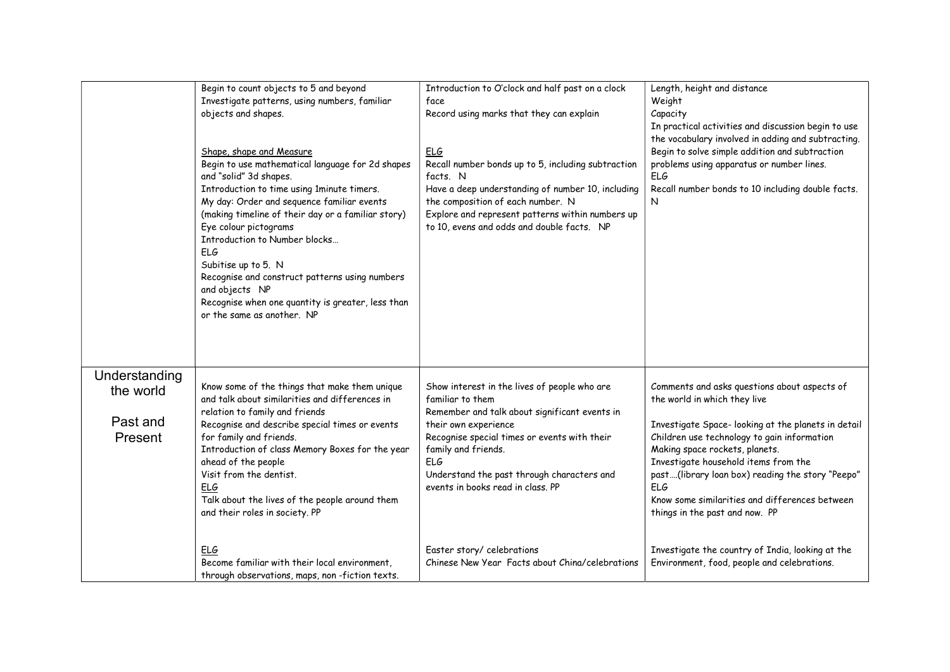|                                                   | Begin to count objects to 5 and beyond<br>Investigate patterns, using numbers, familiar<br>objects and shapes.<br>Shape, shape and Measure<br>Begin to use mathematical language for 2d shapes<br>and "solid" 3d shapes.<br>Introduction to time using 1minute timers.<br>My day: Order and sequence familiar events<br>(making timeline of their day or a familiar story)<br>Eye colour pictograms<br>Introduction to Number blocks<br><b>ELG</b><br>Subitise up to 5. N<br>Recognise and construct patterns using numbers<br>and objects NP<br>Recognise when one quantity is greater, less than<br>or the same as another. NP | Introduction to O'clock and half past on a clock<br>face<br>Record using marks that they can explain<br><b>ELG</b><br>Recall number bonds up to 5, including subtraction<br>facts. N<br>Have a deep understanding of number 10, including<br>the composition of each number. N<br>Explore and represent patterns within numbers up<br>to 10, evens and odds and double facts. NP | Length, height and distance<br>Weight<br>Capacity<br>In practical activities and discussion begin to use<br>the vocabulary involved in adding and subtracting.<br>Begin to solve simple addition and subtraction<br>problems using apparatus or number lines.<br><b>ELG</b><br>Recall number bonds to 10 including double facts.<br>N                                                                      |
|---------------------------------------------------|----------------------------------------------------------------------------------------------------------------------------------------------------------------------------------------------------------------------------------------------------------------------------------------------------------------------------------------------------------------------------------------------------------------------------------------------------------------------------------------------------------------------------------------------------------------------------------------------------------------------------------|----------------------------------------------------------------------------------------------------------------------------------------------------------------------------------------------------------------------------------------------------------------------------------------------------------------------------------------------------------------------------------|------------------------------------------------------------------------------------------------------------------------------------------------------------------------------------------------------------------------------------------------------------------------------------------------------------------------------------------------------------------------------------------------------------|
| Understanding<br>the world<br>Past and<br>Present | Know some of the things that make them unique<br>and talk about similarities and differences in<br>relation to family and friends<br>Recognise and describe special times or events<br>for family and friends.<br>Introduction of class Memory Boxes for the year<br>ahead of the people<br>Visit from the dentist.<br>ELG<br>Talk about the lives of the people around them<br>and their roles in society. PP                                                                                                                                                                                                                   | Show interest in the lives of people who are<br>familiar to them<br>Remember and talk about significant events in<br>their own experience<br>Recognise special times or events with their<br>family and friends.<br><b>ELG</b><br>Understand the past through characters and<br>events in books read in class. PP                                                                | Comments and asks questions about aspects of<br>the world in which they live<br>Investigate Space-looking at the planets in detail<br>Children use technology to gain information<br>Making space rockets, planets.<br>Investigate household items from the<br>past(library loan box) reading the story "Peepo"<br>ELG<br>Know some similarities and differences between<br>things in the past and now. PP |
|                                                   | ELG<br>Become familiar with their local environment,<br>through observations, maps, non-fiction texts.                                                                                                                                                                                                                                                                                                                                                                                                                                                                                                                           | Easter story/ celebrations<br>Chinese New Year Facts about China/celebrations                                                                                                                                                                                                                                                                                                    | Investigate the country of India, looking at the<br>Environment, food, people and celebrations.                                                                                                                                                                                                                                                                                                            |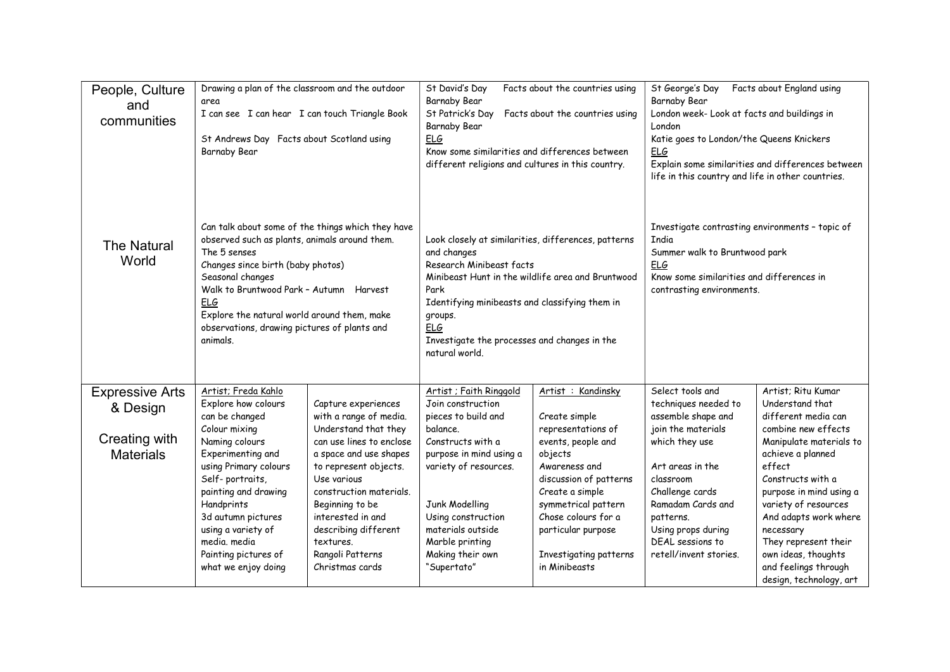| People, Culture<br>and<br>communities | Drawing a plan of the classroom and the outdoor<br>area<br>I can see I can hear I can touch Triangle Book<br>St Andrews Day Facts about Scotland using<br>Barnaby Bear                                                                                                                                                                          |                                                                                                                                                                                                                                                                   | St David's Day<br>Facts about the countries using<br>Barnaby Bear<br>St Patrick's Day Facts about the countries using<br><b>Barnaby Bear</b><br>ELG<br>Know some similarities and differences between<br>different religions and cultures in this country.                                               |                                                                                                                                                                                                                                  | Facts about England using<br>St George's Day<br>Barnaby Bear<br>London week- Look at facts and buildings in<br>London<br>Katie goes to London/the Queens Knickers<br>ELG<br>Explain some similarities and differences between<br>life in this country and life in other countries. |                                                                                                                                                                                                                                                                                               |
|---------------------------------------|-------------------------------------------------------------------------------------------------------------------------------------------------------------------------------------------------------------------------------------------------------------------------------------------------------------------------------------------------|-------------------------------------------------------------------------------------------------------------------------------------------------------------------------------------------------------------------------------------------------------------------|----------------------------------------------------------------------------------------------------------------------------------------------------------------------------------------------------------------------------------------------------------------------------------------------------------|----------------------------------------------------------------------------------------------------------------------------------------------------------------------------------------------------------------------------------|------------------------------------------------------------------------------------------------------------------------------------------------------------------------------------------------------------------------------------------------------------------------------------|-----------------------------------------------------------------------------------------------------------------------------------------------------------------------------------------------------------------------------------------------------------------------------------------------|
| <b>The Natural</b><br>World           | Can talk about some of the things which they have<br>observed such as plants, animals around them.<br>The 5 senses<br>Changes since birth (baby photos)<br>Seasonal changes<br>Walk to Bruntwood Park - Autumn Harvest<br><b>ELG</b><br>Explore the natural world around them, make<br>observations, drawing pictures of plants and<br>animals. |                                                                                                                                                                                                                                                                   | Look closely at similarities, differences, patterns<br>and changes<br>Research Minibeast facts<br>Minibeast Hunt in the wildlife area and Bruntwood<br>Park<br>Identifying minibeasts and classifying them in<br>groups.<br><b>ELG</b><br>Investigate the processes and changes in the<br>natural world. |                                                                                                                                                                                                                                  | Investigate contrasting environments - topic of<br><b>India</b><br>Summer walk to Bruntwood park<br>ELG<br>Know some similarities and differences in<br>contrasting environments.                                                                                                  |                                                                                                                                                                                                                                                                                               |
| <b>Expressive Arts</b>                | Artist; Freda Kahlo<br>Explore how colours                                                                                                                                                                                                                                                                                                      | Capture experiences                                                                                                                                                                                                                                               | Artist ; Faith Ringgold<br>Join construction                                                                                                                                                                                                                                                             | Artist : Kandinsky                                                                                                                                                                                                               | Select tools and<br>techniques needed to                                                                                                                                                                                                                                           | Artist; Ritu Kumar<br>Understand that                                                                                                                                                                                                                                                         |
| & Design                              | can be changed                                                                                                                                                                                                                                                                                                                                  | with a range of media.                                                                                                                                                                                                                                            | pieces to build and                                                                                                                                                                                                                                                                                      | Create simple                                                                                                                                                                                                                    | assemble shape and                                                                                                                                                                                                                                                                 | different media can                                                                                                                                                                                                                                                                           |
| Creating with<br><b>Materials</b>     | Colour mixing<br>Naming colours<br>Experimenting and<br>using Primary colours<br>Self-portraits,<br>painting and drawing<br>Handprints<br>3d autumn pictures<br>using a variety of<br>media. media<br>Painting pictures of<br>what we enjoy doing                                                                                               | Understand that they<br>can use lines to enclose<br>a space and use shapes<br>to represent objects.<br>Use various<br>construction materials.<br>Beginning to be<br>interested in and<br>describing different<br>textures.<br>Rangoli Patterns<br>Christmas cards | balance.<br>Constructs with a<br>purpose in mind using a<br>variety of resources.<br>Junk Modelling<br>Using construction<br>materials outside<br>Marble printing<br>Making their own<br>"Supertato"                                                                                                     | representations of<br>events, people and<br>objects<br>Awareness and<br>discussion of patterns<br>Create a simple<br>symmetrical pattern<br>Chose colours for a<br>particular purpose<br>Investigating patterns<br>in Minibeasts | join the materials<br>which they use<br>Art areas in the<br>classroom<br>Challenge cards<br>Ramadam Cards and<br>patterns.<br>Using props during<br>DEAL sessions to<br>retell/invent stories.                                                                                     | combine new effects<br>Manipulate materials to<br>achieve a planned<br>effect<br>Constructs with a<br>purpose in mind using a<br>variety of resources<br>And adapts work where<br>necessary<br>They represent their<br>own ideas, thoughts<br>and feelings through<br>design, technology, art |